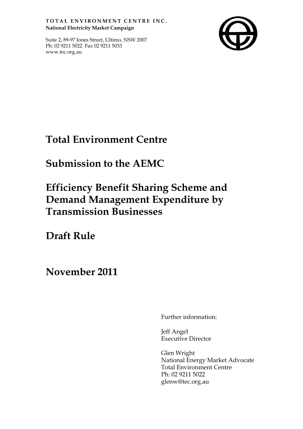TOTAL ENVIRONMENT CENTRE INC. **National Electricity Market Campaign**

Suite 2, 89-97 Jones Street, Ultimo, NSW 2007 Ph: 02 9211 5022 Fax 02 9211 5033 www.tec.org.au



## **Total Environment Centre**

## **Submission to the AEMC**

# **Efficiency Benefit Sharing Scheme and Demand Management Expenditure by Transmission Businesses**

**Draft Rule**

**November 2011**

Further information:

Jeff Angel Executive Director

Glen Wright National Energy Market Advocate Total Environment Centre Ph: 02 9211 5022 glenw@tec.org.au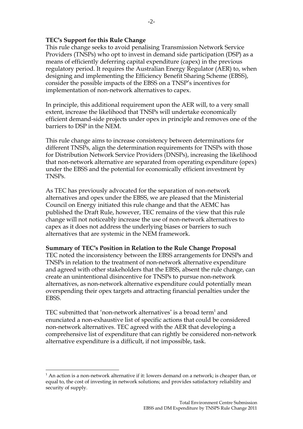#### **TEC's Support for this Rule Change**

This rule change seeks to avoid penalising Transmission Network Service Providers (TNSPs) who opt to invest in demand side participation (DSP) as a means of efficiently deferring capital expenditure (capex) in the previous regulatory period. It requires the Australian Energy Regulator (AER) to, when designing and implementing the Efficiency Benefit Sharing Scheme (EBSS), consider the possible impacts of the EBSS on a TNSP's incentives for implementation of non-network alternatives to capex.

In principle, this additional requirement upon the AER will, to a very small extent, increase the likelihood that TNSPs will undertake economically efficient demand-side projects under opex in principle and removes one of the barriers to DSP in the NEM.

This rule change aims to increase consistency between determinations for different TNSPs, align the determination requirements for TNSPs with those for Distribution Network Service Providers (DNSPs), increasing the likelihood that non-network alternative are separated from operating expenditure (opex) under the EBSS and the potential for economically efficient investment by TNSPs.

As TEC has previously advocated for the separation of non-network alternatives and opex under the EBSS, we are pleased that the Ministerial Council on Energy initiated this rule change and that the AEMC has published the Draft Rule, however, TEC remains of the view that this rule change will not noticeably increase the use of non-network alternatives to capex as it does not address the underlying biases or barriers to such alternatives that are systemic in the NEM framework.

#### **Summary of TEC's Position in Relation to the Rule Change Proposal**

TEC noted the inconsistency between the EBSS arrangements for DNSPs and TNSPs in relation to the treatment of non-network alternative expenditure and agreed with other stakeholders that the EBSS, absent the rule change, can create an unintentional disincentive for TNSPs to pursue non-network alternatives, as non-network alternative expenditure could potentially mean overspending their opex targets and attracting financial penalties under the EBSS.

TEC submitted that 'non-network alternatives' is a broad term $^1$  and enunciated a non-exhaustive list of specific actions that could be considered non-network alternatives. TEC agreed with the AER that developing a comprehensive list of expenditure that can rightly be considered non-network alternative expenditure is a difficult, if not impossible, task.

 $\overline{a}$ 

 $<sup>1</sup>$  An action is a non-network alternative if it: lowers demand on a network; is cheaper than, or</sup> equal to, the cost of investing in network solutions; and provides satisfactory reliability and security of supply.